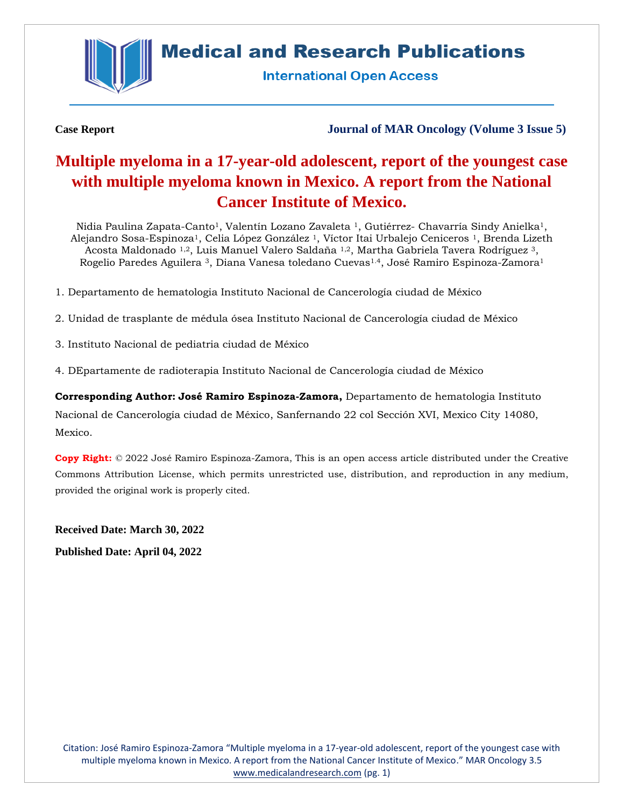

# **Medical and Research Publications**

**International Open Access** 

**Case Report Journal of MAR Oncology (Volume 3 Issue 5)**

## **Multiple myeloma in a 17-year-old adolescent, report of the youngest case with multiple myeloma known in Mexico. A report from the National Cancer Institute of Mexico.**

Nidia Paulina Zapata-Canto<sup>1</sup>, Valentín Lozano Zavaleta <sup>1</sup>, Gutiérrez- Chavarría Sindy Anielka<sup>1</sup>, Alejandro Sosa-Espinoza1, Celia López González <sup>1</sup>, Víctor Itai Urbalejo Ceniceros 1, Brenda Lizeth Acosta Maldonado 1,2, Luis Manuel Valero Saldaña 1,2, Martha Gabriela Tavera Rodríguez <sup>3</sup>, Rogelio Paredes Aguilera <sup>3</sup>, Diana Vanesa toledano Cuevas1.4, José Ramiro Espinoza-Zamora<sup>1</sup>

- 1. Departamento de hematologia Instituto Nacional de Cancerología ciudad de México
- 2. Unidad de trasplante de médula ósea Instituto Nacional de Cancerología ciudad de México
- 3. Instituto Nacional de pediatria ciudad de México

4. DEpartamente de radioterapia Instituto Nacional de Cancerología ciudad de México

**Corresponding Author: José Ramiro Espinoza-Zamora,** Departamento de hematologia Instituto Nacional de Cancerología ciudad de México, Sanfernando 22 col Sección XVI, Mexico City 14080, Mexico.

**Copy Right:** © 2022 José Ramiro Espinoza-Zamora, This is an open access article distributed under the Creative Commons Attribution License, which permits unrestricted use, distribution, and reproduction in any medium, provided the original work is properly cited.

**Received Date: March 30, 2022 Published Date: April 04, 2022**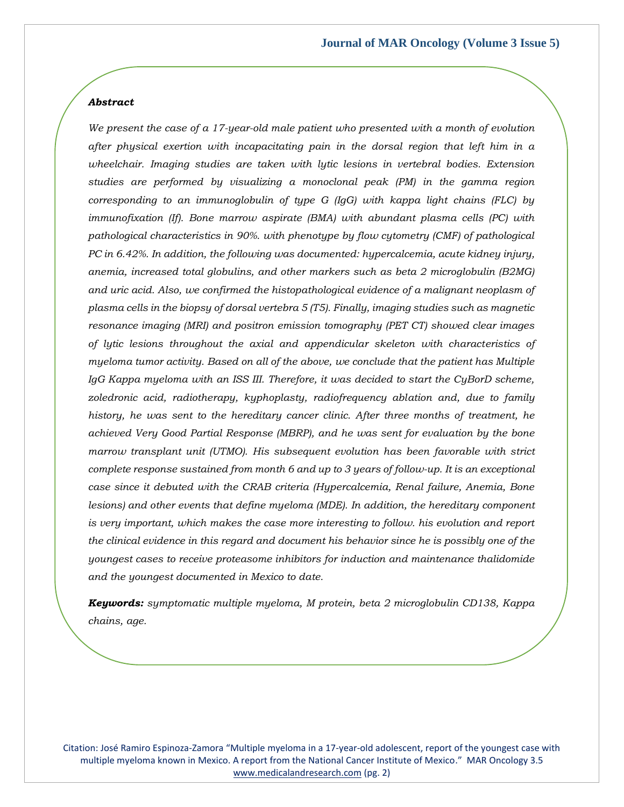#### *Abstract*

*We present the case of a 17-year-old male patient who presented with a month of evolution after physical exertion with incapacitating pain in the dorsal region that left him in a wheelchair. Imaging studies are taken with lytic lesions in vertebral bodies. Extension studies are performed by visualizing a monoclonal peak (PM) in the gamma region corresponding to an immunoglobulin of type G (IgG) with kappa light chains (FLC) by immunofixation (If). Bone marrow aspirate (BMA) with abundant plasma cells (PC) with pathological characteristics in 90%. with phenotype by flow cytometry (CMF) of pathological PC in 6.42%. In addition, the following was documented: hypercalcemia, acute kidney injury, anemia, increased total globulins, and other markers such as beta 2 microglobulin (B2MG) and uric acid. Also, we confirmed the histopathological evidence of a malignant neoplasm of plasma cells in the biopsy of dorsal vertebra 5 (T5). Finally, imaging studies such as magnetic resonance imaging (MRI) and positron emission tomography (PET CT) showed clear images of lytic lesions throughout the axial and appendicular skeleton with characteristics of myeloma tumor activity. Based on all of the above, we conclude that the patient has Multiple IgG Kappa myeloma with an ISS III. Therefore, it was decided to start the CyBorD scheme, zoledronic acid, radiotherapy, kyphoplasty, radiofrequency ablation and, due to family history, he was sent to the hereditary cancer clinic. After three months of treatment, he achieved Very Good Partial Response (MBRP), and he was sent for evaluation by the bone marrow transplant unit (UTMO). His subsequent evolution has been favorable with strict complete response sustained from month 6 and up to 3 years of follow-up. It is an exceptional case since it debuted with the CRAB criteria (Hypercalcemia, Renal failure, Anemia, Bone lesions) and other events that define myeloma (MDE). In addition, the hereditary component*  is very important, which makes the case more interesting to follow. his evolution and report *the clinical evidence in this regard and document his behavior since he is possibly one of the youngest cases to receive proteasome inhibitors for induction and maintenance thalidomide and the youngest documented in Mexico to date.*

*Keywords: symptomatic multiple myeloma, M protein, beta 2 microglobulin CD138, Kappa chains, age.*

Citation: José Ramiro Espinoza-Zamora "Multiple myeloma in a 17-year-old adolescent, report of the youngest case with multiple myeloma known in Mexico. A report from the National Cancer Institute of Mexico." MAR Oncology 3.5 [www.medicalandresearch.com](http://www.medicalandresearch.com/) (pg. 2)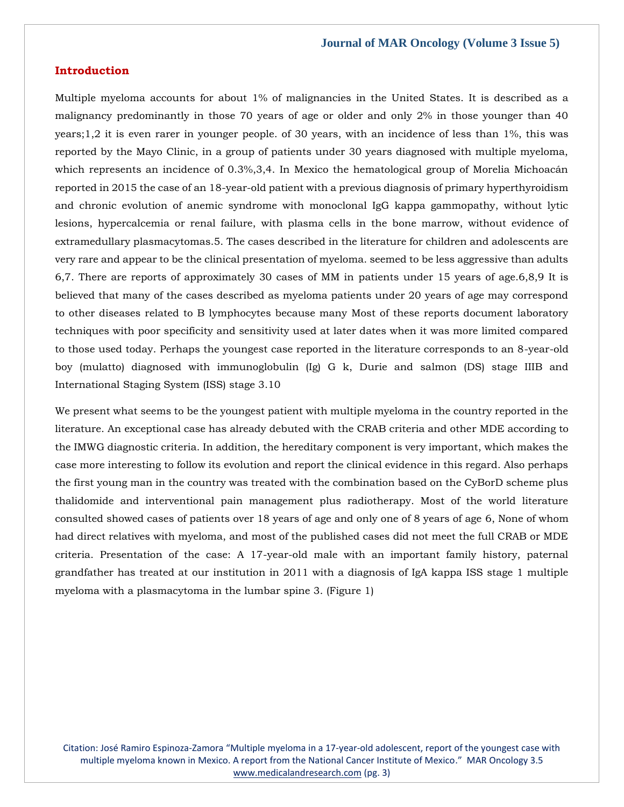### **Introduction**

Multiple myeloma accounts for about 1% of malignancies in the United States. It is described as a malignancy predominantly in those 70 years of age or older and only 2% in those younger than 40 years;1,2 it is even rarer in younger people. of 30 years, with an incidence of less than 1%, this was reported by the Mayo Clinic, in a group of patients under 30 years diagnosed with multiple myeloma, which represents an incidence of 0.3%,3,4. In Mexico the hematological group of Morelia Michoacán reported in 2015 the case of an 18-year-old patient with a previous diagnosis of primary hyperthyroidism and chronic evolution of anemic syndrome with monoclonal IgG kappa gammopathy, without lytic lesions, hypercalcemia or renal failure, with plasma cells in the bone marrow, without evidence of extramedullary plasmacytomas.5. The cases described in the literature for children and adolescents are very rare and appear to be the clinical presentation of myeloma. seemed to be less aggressive than adults 6,7. There are reports of approximately 30 cases of MM in patients under 15 years of age.6,8,9 It is believed that many of the cases described as myeloma patients under 20 years of age may correspond to other diseases related to B lymphocytes because many Most of these reports document laboratory techniques with poor specificity and sensitivity used at later dates when it was more limited compared to those used today. Perhaps the youngest case reported in the literature corresponds to an 8-year-old boy (mulatto) diagnosed with immunoglobulin (Ig) G k, Durie and salmon (DS) stage IIIB and International Staging System (ISS) stage 3.10

We present what seems to be the youngest patient with multiple myeloma in the country reported in the literature. An exceptional case has already debuted with the CRAB criteria and other MDE according to the IMWG diagnostic criteria. In addition, the hereditary component is very important, which makes the case more interesting to follow its evolution and report the clinical evidence in this regard. Also perhaps the first young man in the country was treated with the combination based on the CyBorD scheme plus thalidomide and interventional pain management plus radiotherapy. Most of the world literature consulted showed cases of patients over 18 years of age and only one of 8 years of age 6, None of whom had direct relatives with myeloma, and most of the published cases did not meet the full CRAB or MDE criteria. Presentation of the case: A 17-year-old male with an important family history, paternal grandfather has treated at our institution in 2011 with a diagnosis of IgA kappa ISS stage 1 multiple myeloma with a plasmacytoma in the lumbar spine 3. (Figure 1)

Citation: José Ramiro Espinoza-Zamora "Multiple myeloma in a 17-year-old adolescent, report of the youngest case with multiple myeloma known in Mexico. A report from the National Cancer Institute of Mexico." MAR Oncology 3.5 [www.medicalandresearch.com](http://www.medicalandresearch.com/) (pg. 3)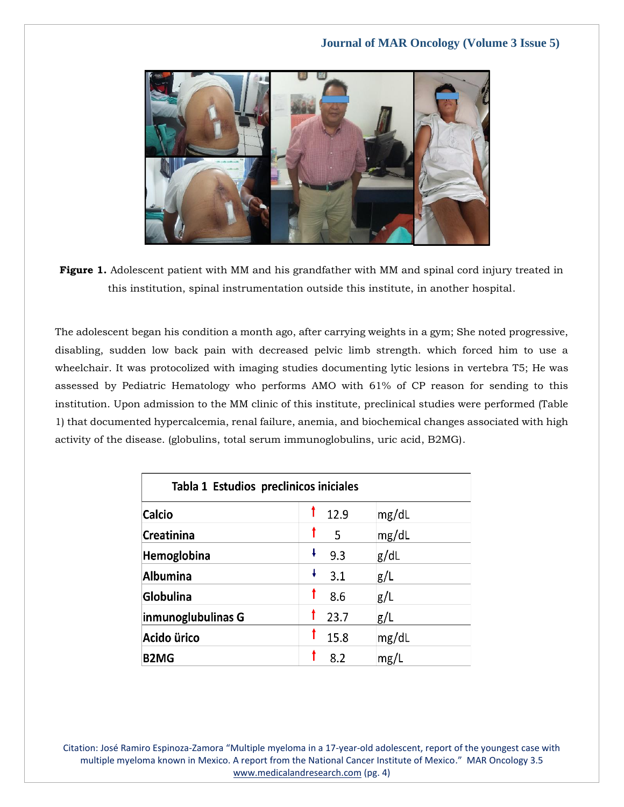

**Figure 1.** Adolescent patient with MM and his grandfather with MM and spinal cord injury treated in this institution, spinal instrumentation outside this institute, in another hospital.

The adolescent began his condition a month ago, after carrying weights in a gym; She noted progressive, disabling, sudden low back pain with decreased pelvic limb strength. which forced him to use a wheelchair. It was protocolized with imaging studies documenting lytic lesions in vertebra T5; He was assessed by Pediatric Hematology who performs AMO with 61% of CP reason for sending to this institution. Upon admission to the MM clinic of this institute, preclinical studies were performed (Table 1) that documented hypercalcemia, renal failure, anemia, and biochemical changes associated with high activity of the disease. (globulins, total serum immunoglobulins, uric acid, B2MG).

| Tabla 1 Estudios preclinicos iniciales |          |       |
|----------------------------------------|----------|-------|
| <b>Calcio</b>                          | 12.9     | mg/dL |
| Creatinina                             | 5        | mg/dL |
| Hemoglobina                            | ł<br>9.3 | g/dL  |
| <b>Albumina</b>                        | ł<br>3.1 | g/L   |
| Globulina                              | 8.6      | g/L   |
| inmunoglubulinas G                     | 23.7     | g/L   |
| Acido ürico                            | 15.8     | mg/dL |
| <b>B2MG</b>                            | 8.2      | mg/L  |

Citation: José Ramiro Espinoza-Zamora "Multiple myeloma in a 17-year-old adolescent, report of the youngest case with multiple myeloma known in Mexico. A report from the National Cancer Institute of Mexico." MAR Oncology 3.5 [www.medicalandresearch.com](http://www.medicalandresearch.com/) (pg. 4)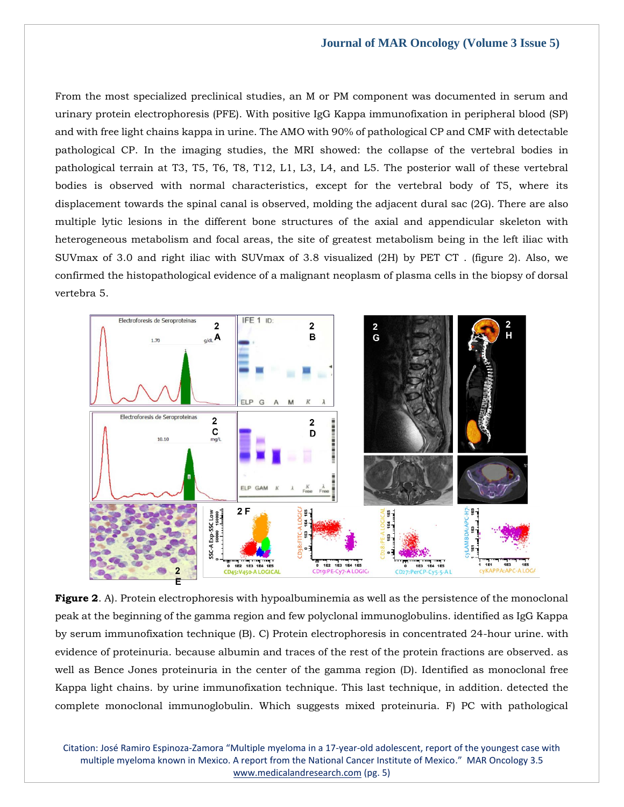From the most specialized preclinical studies, an M or PM component was documented in serum and urinary protein electrophoresis (PFE). With positive IgG Kappa immunofixation in peripheral blood (SP) and with free light chains kappa in urine. The AMO with 90% of pathological CP and CMF with detectable pathological CP. In the imaging studies, the MRI showed: the collapse of the vertebral bodies in pathological terrain at T3, T5, T6, T8, T12, L1, L3, L4, and L5. The posterior wall of these vertebral bodies is observed with normal characteristics, except for the vertebral body of T5, where its displacement towards the spinal canal is observed, molding the adjacent dural sac (2G). There are also multiple lytic lesions in the different bone structures of the axial and appendicular skeleton with heterogeneous metabolism and focal areas, the site of greatest metabolism being in the left iliac with SUVmax of 3.0 and right iliac with SUVmax of 3.8 visualized (2H) by PET CT . (figure 2). Also, we confirmed the histopathological evidence of a malignant neoplasm of plasma cells in the biopsy of dorsal vertebra 5.



**Figure 2.** A). Protein electrophoresis with hypoalbuminemia as well as the persistence of the monoclonal peak at the beginning of the gamma region and few polyclonal immunoglobulins. identified as IgG Kappa by serum immunofixation technique (B). C) Protein electrophoresis in concentrated 24-hour urine. with evidence of proteinuria. because albumin and traces of the rest of the protein fractions are observed. as well as Bence Jones proteinuria in the center of the gamma region (D). Identified as monoclonal free Kappa light chains. by urine immunofixation technique. This last technique, in addition. detected the complete monoclonal immunoglobulin. Which suggests mixed proteinuria. F) PC with pathological

Citation: José Ramiro Espinoza-Zamora "Multiple myeloma in a 17-year-old adolescent, report of the youngest case with multiple myeloma known in Mexico. A report from the National Cancer Institute of Mexico." MAR Oncology 3.5 [www.medicalandresearch.com](http://www.medicalandresearch.com/) (pg. 5)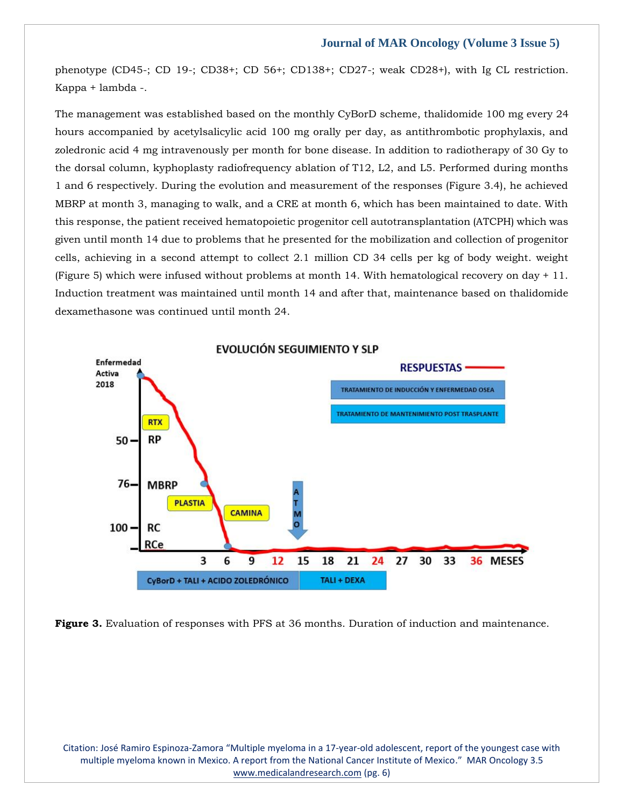phenotype (CD45-; CD 19-; CD38+; CD 56+; CD138+; CD27-; weak CD28+), with Ig CL restriction. Kappa + lambda -.

The management was established based on the monthly CyBorD scheme, thalidomide 100 mg every 24 hours accompanied by acetylsalicylic acid 100 mg orally per day, as antithrombotic prophylaxis, and zoledronic acid 4 mg intravenously per month for bone disease. In addition to radiotherapy of 30 Gy to the dorsal column, kyphoplasty radiofrequency ablation of T12, L2, and L5. Performed during months 1 and 6 respectively. During the evolution and measurement of the responses (Figure 3.4), he achieved MBRP at month 3, managing to walk, and a CRE at month 6, which has been maintained to date. With this response, the patient received hematopoietic progenitor cell autotransplantation (ATCPH) which was given until month 14 due to problems that he presented for the mobilization and collection of progenitor cells, achieving in a second attempt to collect 2.1 million CD 34 cells per kg of body weight. weight (Figure 5) which were infused without problems at month 14. With hematological recovery on day + 11. Induction treatment was maintained until month 14 and after that, maintenance based on thalidomide dexamethasone was continued until month 24.



**Figure 3.** Evaluation of responses with PFS at 36 months. Duration of induction and maintenance.

Citation: José Ramiro Espinoza-Zamora "Multiple myeloma in a 17-year-old adolescent, report of the youngest case with multiple myeloma known in Mexico. A report from the National Cancer Institute of Mexico." MAR Oncology 3.5 [www.medicalandresearch.com](http://www.medicalandresearch.com/) (pg. 6)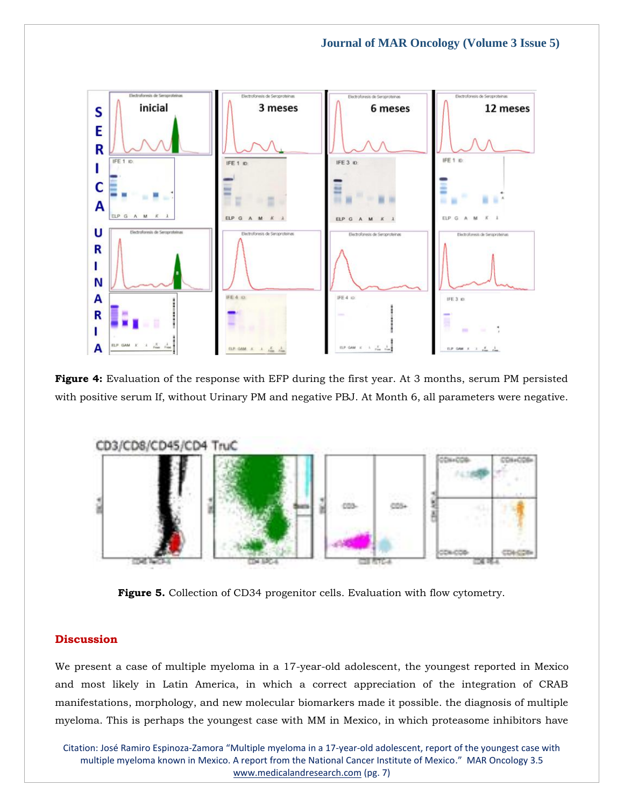

**Figure 4:** Evaluation of the response with EFP during the first year. At 3 months, serum PM persisted with positive serum If, without Urinary PM and negative PBJ. At Month 6, all parameters were negative.



**Figure 5.** Collection of CD34 progenitor cells. Evaluation with flow cytometry.

## **Discussion**

We present a case of multiple myeloma in a 17-year-old adolescent, the youngest reported in Mexico and most likely in Latin America, in which a correct appreciation of the integration of CRAB manifestations, morphology, and new molecular biomarkers made it possible. the diagnosis of multiple myeloma. This is perhaps the youngest case with MM in Mexico, in which proteasome inhibitors have

Citation: José Ramiro Espinoza-Zamora "Multiple myeloma in a 17-year-old adolescent, report of the youngest case with multiple myeloma known in Mexico. A report from the National Cancer Institute of Mexico." MAR Oncology 3.5 [www.medicalandresearch.com](http://www.medicalandresearch.com/) (pg. 7)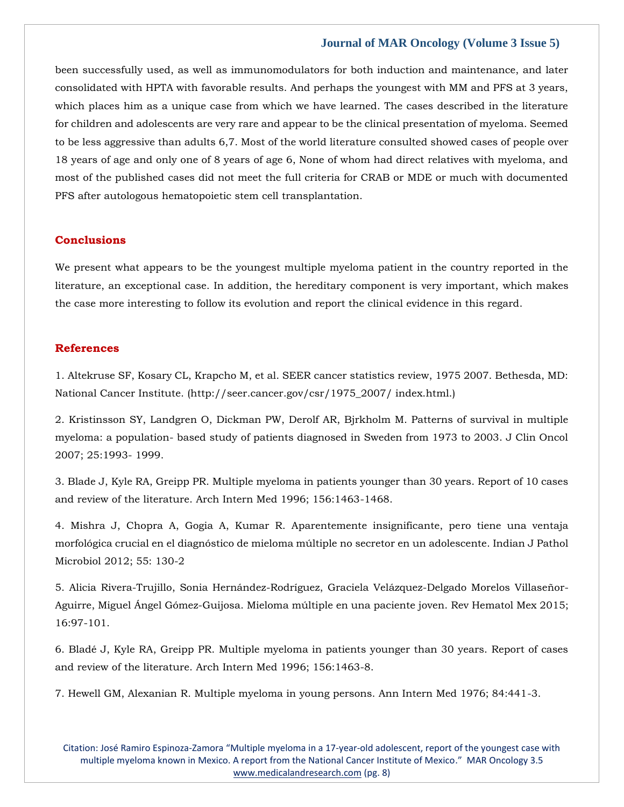been successfully used, as well as immunomodulators for both induction and maintenance, and later consolidated with HPTA with favorable results. And perhaps the youngest with MM and PFS at 3 years, which places him as a unique case from which we have learned. The cases described in the literature for children and adolescents are very rare and appear to be the clinical presentation of myeloma. Seemed to be less aggressive than adults 6,7. Most of the world literature consulted showed cases of people over 18 years of age and only one of 8 years of age 6, None of whom had direct relatives with myeloma, and most of the published cases did not meet the full criteria for CRAB or MDE or much with documented PFS after autologous hematopoietic stem cell transplantation.

#### **Conclusions**

We present what appears to be the youngest multiple myeloma patient in the country reported in the literature, an exceptional case. In addition, the hereditary component is very important, which makes the case more interesting to follow its evolution and report the clinical evidence in this regard.

## **References**

1. [Altekruse SF, Kosary CL, Krapcho M, et al. SEER cancer statistics review, 1975 2007. Bethesda, MD:](file:///C:/Users/Arief%20Mahimudh/Desktop/MARCH%20Proofs/OY/1.%20Altekruse%20SF,%20Kosary%20CL,%20Krapcho%20M,%20et%20al.%20SEER%20cancer%20statistics%20review,%201975%202007.%20Bethesda,%20MD:%20National%20Cancer%20Institute.%20(http:/seer.cancer.gov/csr/1975_2007/%20index.html.))  [National Cancer Institute. \(http://seer.cancer.gov/csr/1975\\_2007/ index.html.\)](file:///C:/Users/Arief%20Mahimudh/Desktop/MARCH%20Proofs/OY/1.%20Altekruse%20SF,%20Kosary%20CL,%20Krapcho%20M,%20et%20al.%20SEER%20cancer%20statistics%20review,%201975%202007.%20Bethesda,%20MD:%20National%20Cancer%20Institute.%20(http:/seer.cancer.gov/csr/1975_2007/%20index.html.))

2. [Kristinsson SY, Landgren O, Dickman PW, Derolf AR, Bjrkholm M. Patterns of survival in multiple](https://www.google.com/search?q=Patterns+of+survival+in+multiple+myeloma%3A+a+population-+based+study+of+patients+diagnosed+in+Sweden+from+1973+to+2003&oq=Patterns+of+survival+in+multiple+myeloma%3A+a+population-+based+study+of+patients+diagnosed+in+Sweden+from+1973+to+2003&aqs=chrome..69i57.390j0j9&sourceid=chrome&ie=UTF-8)  myeloma: a population- [based study of patients diagnosed in Sweden from 1973 to 2003. J Clin Oncol](https://www.google.com/search?q=Patterns+of+survival+in+multiple+myeloma%3A+a+population-+based+study+of+patients+diagnosed+in+Sweden+from+1973+to+2003&oq=Patterns+of+survival+in+multiple+myeloma%3A+a+population-+based+study+of+patients+diagnosed+in+Sweden+from+1973+to+2003&aqs=chrome..69i57.390j0j9&sourceid=chrome&ie=UTF-8)  [2007; 25:1993-](https://www.google.com/search?q=Patterns+of+survival+in+multiple+myeloma%3A+a+population-+based+study+of+patients+diagnosed+in+Sweden+from+1973+to+2003&oq=Patterns+of+survival+in+multiple+myeloma%3A+a+population-+based+study+of+patients+diagnosed+in+Sweden+from+1973+to+2003&aqs=chrome..69i57.390j0j9&sourceid=chrome&ie=UTF-8) 1999.

3. [Blade J, Kyle RA, Greipp PR. Multiple myeloma in patients younger than 30 years. Report of 10 cases](https://www.google.com/search?q=Multiple+myeloma+in+patients+younger+than+30+years.+Report+of+10+cases+and+review+of+the+literature.&sxsrf=APq-WBtlAAdI4t34PB7Q12Vagr0X42lBmg%3A1648898866459&ei=MjNIYqTIG8WAmgeJyaHwDQ&ved=0ahUKEwikqdL5ovX2AhVFgOYKHYlkCN4Q4dUDCA4&oq=Multiple+myeloma+in+patients+younger+than+30+years.+Report+of+10+cases+and+review+of+the+literature.&gs_lcp=Cgdnd3Mtd2l6EAw6BwgjEOoCECdKBAhBGABKBAhGGABQjwFYjwFgoQdoAXAAeACAAW6IAW6SAQMwLjGYAQCgAQGgAQKwAQrAAQE&sclient=gws-wiz)  [and review of the literature. Arch Intern Med 1996; 156:1463-1468.](https://www.google.com/search?q=Multiple+myeloma+in+patients+younger+than+30+years.+Report+of+10+cases+and+review+of+the+literature.&sxsrf=APq-WBtlAAdI4t34PB7Q12Vagr0X42lBmg%3A1648898866459&ei=MjNIYqTIG8WAmgeJyaHwDQ&ved=0ahUKEwikqdL5ovX2AhVFgOYKHYlkCN4Q4dUDCA4&oq=Multiple+myeloma+in+patients+younger+than+30+years.+Report+of+10+cases+and+review+of+the+literature.&gs_lcp=Cgdnd3Mtd2l6EAw6BwgjEOoCECdKBAhBGABKBAhGGABQjwFYjwFgoQdoAXAAeACAAW6IAW6SAQMwLjGYAQCgAQGgAQKwAQrAAQE&sclient=gws-wiz)

4. [Mishra J, Chopra A, Gogia A, Kumar R. Aparentemente insignificante, pero tiene una ventaja](https://www.google.com/search?q=Aparentemente+insignificante%2C+pero+tiene+una+ventaja+morfol%C3%B3gica+crucial+en+el+diagn%C3%B3stico+de+mieloma+m%C3%BAltiple+no+secretor+en+un+adolescente&sxsrf=APq-WBvJUOeffzE73b_CzQvbK4TTfXSxHw%3A1648898884043&ei=RDNIYt6lApjA3LUP7NWh8AU&ved=0ahUKEwje14OCo_X2AhUYILcAHexqCF4Q4dUDCA4&oq=Aparentemente+insignificante%2C+pero+tiene+una+ventaja+morfol%C3%B3gica+crucial+en+el+diagn%C3%B3stico+de+mieloma+m%C3%BAltiple+no+secretor+en+un+adolescente&gs_lcp=Cgdnd3Mtd2l6EAwyBwgjEOoCECcyBwgjEOoCECcyBwgjEOoCECcyBwgjEOoCECcyBwgjEOoCECcyBwgjEOoCECcyBwgjEOoCECcyBwgjEOoCECcyBwgjEOoCECcyBwgjEOoCECdKBAhBGABKBAhGGABQFFgUYMYHaAFwAXgAgAEAiAEAkgEAmAEAoAEBoAECsAEKwAEB&sclient=gws-wiz)  [morfológica crucial en el diagnóstico de mieloma múltiple no secretor en un adolescente. Indian J Pathol](https://www.google.com/search?q=Aparentemente+insignificante%2C+pero+tiene+una+ventaja+morfol%C3%B3gica+crucial+en+el+diagn%C3%B3stico+de+mieloma+m%C3%BAltiple+no+secretor+en+un+adolescente&sxsrf=APq-WBvJUOeffzE73b_CzQvbK4TTfXSxHw%3A1648898884043&ei=RDNIYt6lApjA3LUP7NWh8AU&ved=0ahUKEwje14OCo_X2AhUYILcAHexqCF4Q4dUDCA4&oq=Aparentemente+insignificante%2C+pero+tiene+una+ventaja+morfol%C3%B3gica+crucial+en+el+diagn%C3%B3stico+de+mieloma+m%C3%BAltiple+no+secretor+en+un+adolescente&gs_lcp=Cgdnd3Mtd2l6EAwyBwgjEOoCECcyBwgjEOoCECcyBwgjEOoCECcyBwgjEOoCECcyBwgjEOoCECcyBwgjEOoCECcyBwgjEOoCECcyBwgjEOoCECcyBwgjEOoCECcyBwgjEOoCECdKBAhBGABKBAhGGABQFFgUYMYHaAFwAXgAgAEAiAEAkgEAmAEAoAEBoAECsAEKwAEB&sclient=gws-wiz)  [Microbiol 2012; 55: 130-2](https://www.google.com/search?q=Aparentemente+insignificante%2C+pero+tiene+una+ventaja+morfol%C3%B3gica+crucial+en+el+diagn%C3%B3stico+de+mieloma+m%C3%BAltiple+no+secretor+en+un+adolescente&sxsrf=APq-WBvJUOeffzE73b_CzQvbK4TTfXSxHw%3A1648898884043&ei=RDNIYt6lApjA3LUP7NWh8AU&ved=0ahUKEwje14OCo_X2AhUYILcAHexqCF4Q4dUDCA4&oq=Aparentemente+insignificante%2C+pero+tiene+una+ventaja+morfol%C3%B3gica+crucial+en+el+diagn%C3%B3stico+de+mieloma+m%C3%BAltiple+no+secretor+en+un+adolescente&gs_lcp=Cgdnd3Mtd2l6EAwyBwgjEOoCECcyBwgjEOoCECcyBwgjEOoCECcyBwgjEOoCECcyBwgjEOoCECcyBwgjEOoCECcyBwgjEOoCECcyBwgjEOoCECcyBwgjEOoCECcyBwgjEOoCECdKBAhBGABKBAhGGABQFFgUYMYHaAFwAXgAgAEAiAEAkgEAmAEAoAEBoAECsAEKwAEB&sclient=gws-wiz)

5. [Alicia Rivera-Trujillo, Sonia Hernández-Rodríguez, Graciela Velázquez-Delgado Morelos Villaseñor-](https://www.google.com/search?q=Mieloma+m%C3%BAltiple+en+una+paciente+joven&sxsrf=APq-WBvtIRMrwjmixtMVs1aAi1vq6RamDw%3A1648898898976&ei=UjNIYtieO57Fz7sPscyEqAg&ved=0ahUKEwjYj5OJo_X2AhWe4nMBHTEmAYUQ4dUDCA4&oq=Mieloma+m%C3%BAltiple+en+una+paciente+joven&gs_lcp=Cgdnd3Mtd2l6EAwyBggAEBYQHjIGCAAQFhAeOgcIIxDqAhAnSgQIQRgASgQIRhgAUEdYR2C0BmgBcAF4AIABbIgBbJIBAzAuMZgBAKABAaABArABCsABAQ&sclient=gws-wiz)[Aguirre, Miguel Ángel Gómez-Guijosa. Mieloma múltiple en una paciente joven. Rev Hematol Mex 2015;](https://www.google.com/search?q=Mieloma+m%C3%BAltiple+en+una+paciente+joven&sxsrf=APq-WBvtIRMrwjmixtMVs1aAi1vq6RamDw%3A1648898898976&ei=UjNIYtieO57Fz7sPscyEqAg&ved=0ahUKEwjYj5OJo_X2AhWe4nMBHTEmAYUQ4dUDCA4&oq=Mieloma+m%C3%BAltiple+en+una+paciente+joven&gs_lcp=Cgdnd3Mtd2l6EAwyBggAEBYQHjIGCAAQFhAeOgcIIxDqAhAnSgQIQRgASgQIRhgAUEdYR2C0BmgBcAF4AIABbIgBbJIBAzAuMZgBAKABAaABArABCsABAQ&sclient=gws-wiz)  [16:97-101.](https://www.google.com/search?q=Mieloma+m%C3%BAltiple+en+una+paciente+joven&sxsrf=APq-WBvtIRMrwjmixtMVs1aAi1vq6RamDw%3A1648898898976&ei=UjNIYtieO57Fz7sPscyEqAg&ved=0ahUKEwjYj5OJo_X2AhWe4nMBHTEmAYUQ4dUDCA4&oq=Mieloma+m%C3%BAltiple+en+una+paciente+joven&gs_lcp=Cgdnd3Mtd2l6EAwyBggAEBYQHjIGCAAQFhAeOgcIIxDqAhAnSgQIQRgASgQIRhgAUEdYR2C0BmgBcAF4AIABbIgBbJIBAzAuMZgBAKABAaABArABCsABAQ&sclient=gws-wiz)

6. [Bladé J, Kyle RA, Greipp PR. Multiple myeloma in patients younger than 30 years. Report of cases](https://www.google.com/search?q=Multiple+myeloma+in+patients+younger+than+30+years.+Report+of+cases+and+review+of+the+literature.+&sxsrf=APq-WBv6EFk6dijJi2845kdNGwHJyy3M2Q%3A1648898953401&ei=iTNIYsuSGIfaz7sPitesiAY&ved=0ahUKEwiL-4yjo_X2AhUH7XMBHYorC2EQ4dUDCA4&oq=Multiple+myeloma+in+patients+younger+than+30+years.+Report+of+cases+and+review+of+the+literature.+&gs_lcp=Cgdnd3Mtd2l6EAw6BwgjEOoCECdKBAhBGABKBAhGGABQiAFYiAFgiQpoAXABeACAAWiIAWiSAQMwLjGYAQCgAQGgAQKwAQrAAQE&sclient=gws-wiz)  [and review of the literature. Arch Intern Med 1996; 156:1463-8.](https://www.google.com/search?q=Multiple+myeloma+in+patients+younger+than+30+years.+Report+of+cases+and+review+of+the+literature.+&sxsrf=APq-WBv6EFk6dijJi2845kdNGwHJyy3M2Q%3A1648898953401&ei=iTNIYsuSGIfaz7sPitesiAY&ved=0ahUKEwiL-4yjo_X2AhUH7XMBHYorC2EQ4dUDCA4&oq=Multiple+myeloma+in+patients+younger+than+30+years.+Report+of+cases+and+review+of+the+literature.+&gs_lcp=Cgdnd3Mtd2l6EAw6BwgjEOoCECdKBAhBGABKBAhGGABQiAFYiAFgiQpoAXABeACAAWiIAWiSAQMwLjGYAQCgAQGgAQKwAQrAAQE&sclient=gws-wiz)

7. [Hewell GM, Alexanian R. Multiple myeloma in young persons. Ann Intern Med 1976; 84:441-3.](https://www.google.com/search?q=Multiple+myeloma+in+young+persons&sxsrf=APq-WBu8YlXz8cV4161eiWjAr3p_Iraeqw%3A1648898974249&ei=njNIYprUDszfz7sP6eGEqAg&ved=0ahUKEwiam4Wto_X2AhXM73MBHekwAYUQ4dUDCA4&oq=Multiple+myeloma+in+young+persons&gs_lcp=Cgdnd3Mtd2l6EAwyBwgjEOoCECcyBwgjEOoCECcyBwgjEOoCECcyBwgjEOoCECcyBwgjEOoCECcyBwgjEOoCECcyBwgjEOoCECcyBwgjEOoCECcyBwgjEOoCECcyBwgjEOoCECdKBAhBGABKBAhGGABQzARYzARgxghoAXABeACAAbkDiAG5A5IBAzQtMZgBAKABAaABArABCsABAQ&sclient=gws-wiz)

Citation: José Ramiro Espinoza-Zamora "Multiple myeloma in a 17-year-old adolescent, report of the youngest case with multiple myeloma known in Mexico. A report from the National Cancer Institute of Mexico." MAR Oncology 3.5 [www.medicalandresearch.com](http://www.medicalandresearch.com/) (pg. 8)